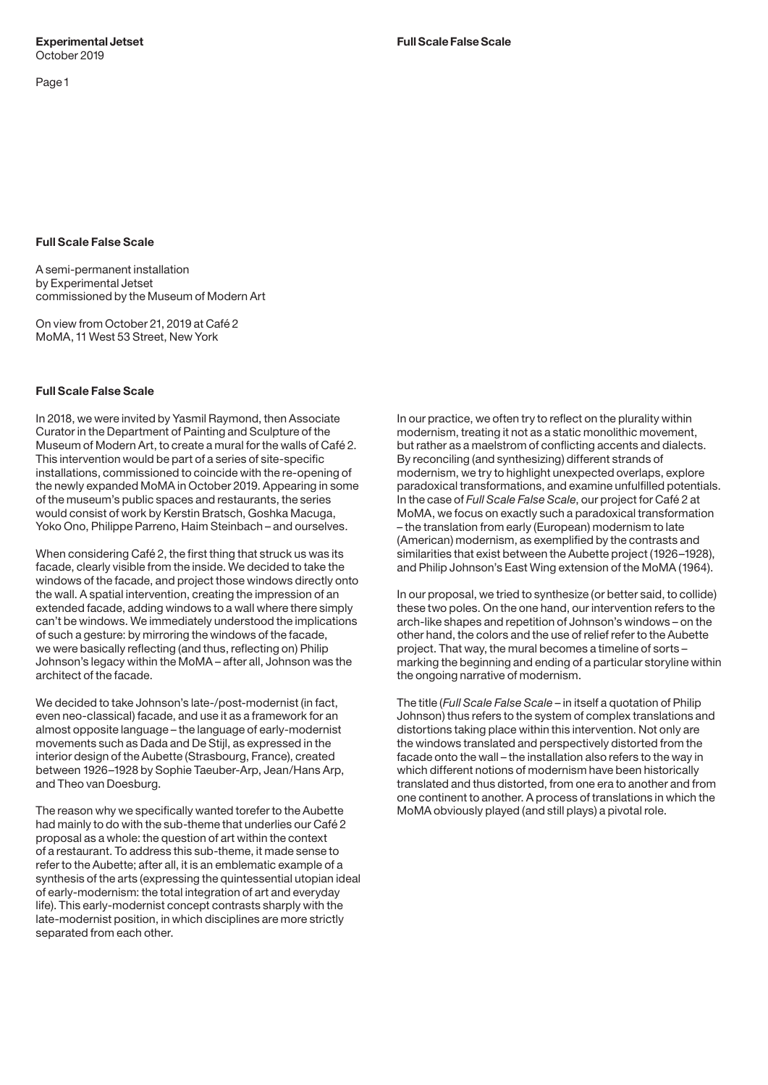### **Full Scale False Scale**

A semi-permanent installation by Experimental Jetset commissioned by the Museum of Modern Art

On view from October 21, 2019 at Café 2 MoMA, 11 West 53 Street, New York

# **Full Scale False Scale**

In 2018, we were invited by Yasmil Raymond, then Associate Curator in the Department of Painting and Sculpture of the Museum of Modern Art, to create a mural for the walls of Café 2. This intervention would be part of a series of site-specific installations, commissioned to coincide with the re-opening of the newly expanded MoMA in October 2019. Appearing in some of the museum's public spaces and restaurants, the series would consist of work by Kerstin Bratsch, Goshka Macuga, Yoko Ono, Philippe Parreno, Haim Steinbach – and ourselves.

When considering Café 2, the first thing that struck us was its facade, clearly visible from the inside. We decided to take the windows of the facade, and project those windows directly onto the wall. A spatial intervention, creating the impression of an extended facade, adding windows to a wall where there simply can't be windows. We immediately understood the implications of such a gesture: by mirroring the windows of the facade, we were basically reflecting (and thus, reflecting on) Philip Johnson's legacy within the MoMA – after all, Johnson was the architect of the facade.

We decided to take Johnson's late-/post-modernist (in fact, even neo-classical) facade, and use it as a framework for an almost opposite language – the language of early-modernist movements such as Dada and De Stijl, as expressed in the interior design of the Aubette (Strasbourg, France), created between 1926–1928 by Sophie Taeuber-Arp, Jean/Hans Arp, and Theo van Doesburg.

The reason why we specifically wanted torefer to the Aubette had mainly to do with the sub-theme that underlies our Café 2 proposal as a whole: the question of art within the context of a restaurant. To address this sub-theme, it made sense to refer to the Aubette; after all, it is an emblematic example of a synthesis of the arts (expressing the quintessential utopian ideal of early-modernism: the total integration of art and everyday life). This early-modernist concept contrasts sharply with the late-modernist position, in which disciplines are more strictly separated from each other.

In our practice, we often try to reflect on the plurality within modernism, treating it not as a static monolithic movement, but rather as a maelstrom of conflicting accents and dialects. By reconciling (and synthesizing) different strands of modernism, we try to highlight unexpected overlaps, explore paradoxical transformations, and examine unfulfilled potentials. In the case of *Full Scale False Scale*, our project for Café 2 at MoMA, we focus on exactly such a paradoxical transformation – the translation from early (European) modernism to late (American) modernism, as exemplified by the contrasts and similarities that exist between the Aubette project (1926–1928), and Philip Johnson's East Wing extension of the MoMA (1964).

In our proposal, we tried to synthesize (or better said, to collide) these two poles. On the one hand, our intervention refers to the arch-like shapes and repetition of Johnson's windows – on the other hand, the colors and the use of relief refer to the Aubette project. That way, the mural becomes a timeline of sorts – marking the beginning and ending of a particular storyline within the ongoing narrative of modernism.

The title (*Full Scale False Scale* – in itself a quotation of Philip Johnson) thus refers to the system of complex translations and distortions taking place within this intervention. Not only are the windows translated and perspectively distorted from the facade onto the wall – the installation also refers to the way in which different notions of modernism have been historically translated and thus distorted, from one era to another and from one continent to another. A process of translations in which the MoMA obviously played (and still plays) a pivotal role.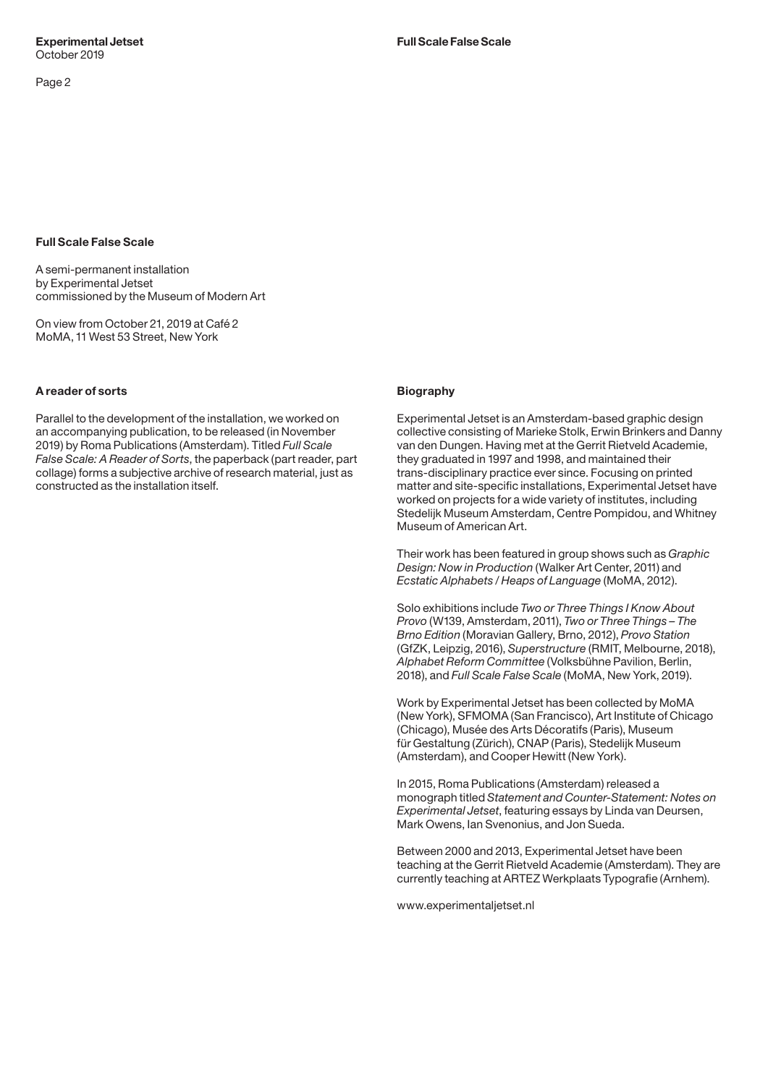# **Full Scale False Scale**

A semi-permanent installation by Experimental Jetset commissioned by the Museum of Modern Art

On view from October 21, 2019 at Café 2 MoMA, 11 West 53 Street, New York

# **A reader of sorts**

Parallel to the development of the installation, we worked on an accompanying publication, to be released (in November 2019) by Roma Publications (Amsterdam). Titled *Full Scale False Scale: A Reader of Sorts*, the paperback (part reader, part collage) forms a subjective archive of research material, just as constructed as the installation itself.

#### **Biography**

Experimental Jetset is an Amsterdam-based graphic design collective consisting of Marieke Stolk, Erwin Brinkers and Danny van den Dungen. Having met at the Gerrit Rietveld Academie, they graduated in 1997 and 1998, and maintained their trans-disciplinary practice ever since. Focusing on printed matter and site-specific installations, Experimental Jetset have worked on projects for a wide variety of institutes, including Stedelijk Museum Amsterdam, Centre Pompidou, and Whitney Museum of American Art.

Their work has been featured in group shows such as *Graphic Design: Now in Production* (Walker Art Center, 2011) and *Ecstatic Alphabets / Heaps of Language* (MoMA, 2012).

Solo exhibitions include *Two or Three Things I Know About Provo* (W139, Amsterdam, 2011), *Two or Three Things – The Brno Edition* (Moravian Gallery, Brno, 2012), *Provo Station* (GfZK, Leipzig, 2016), *Superstructure* (RMIT, Melbourne, 2018), *Alphabet Reform Committee* (Volksbühne Pavilion, Berlin, 2018), and *Full Scale False Scale* (MoMA, New York, 2019).

Work by Experimental Jetset has been collected by MoMA (New York), SFMOMA (San Francisco), Art Institute of Chicago (Chicago), Musée des Arts Décoratifs (Paris), Museum für Gestaltung (Zürich), CNAP (Paris), Stedelijk Museum (Amsterdam), and Cooper Hewitt (New York).

In 2015, Roma Publications (Amsterdam) released a monograph titled *Statement and Counter-Statement: Notes on Experimental Jetset*, featuring essays by Linda van Deursen, Mark Owens, Ian Svenonius, and Jon Sueda.

Between 2000 and 2013, Experimental Jetset have been teaching at the Gerrit Rietveld Academie (Amsterdam). They are currently teaching at ARTEZ Werkplaats Typografie (Arnhem).

www.experimentaljetset.nl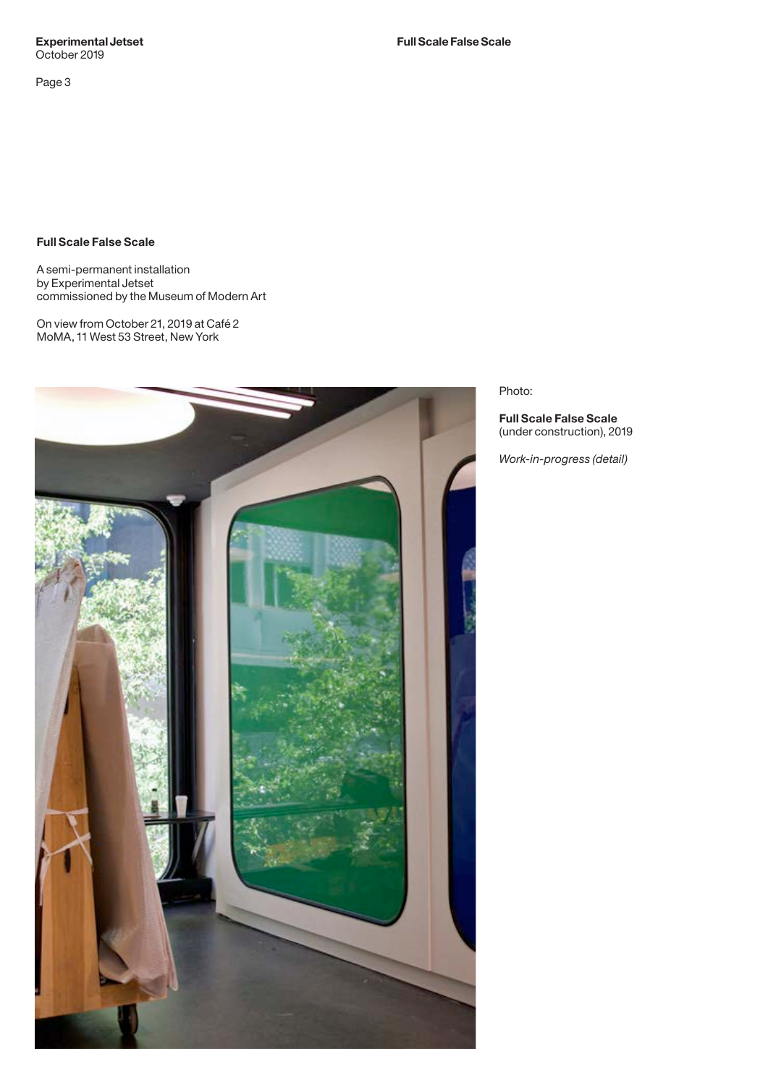**Experimental Jetset Full Scale False Scale** October 2019

Page 3

**Full Scale False Scale**

A semi-permanent installation by Experimental Jetset commissioned by the Museum of Modern Art

On view from October 21, 2019 at Café 2 MoMA, 11 West 53 Street, New York



Photo:

**Full Scale False Scale**  (under construction), 2019

*Work-in-progress (detail)*